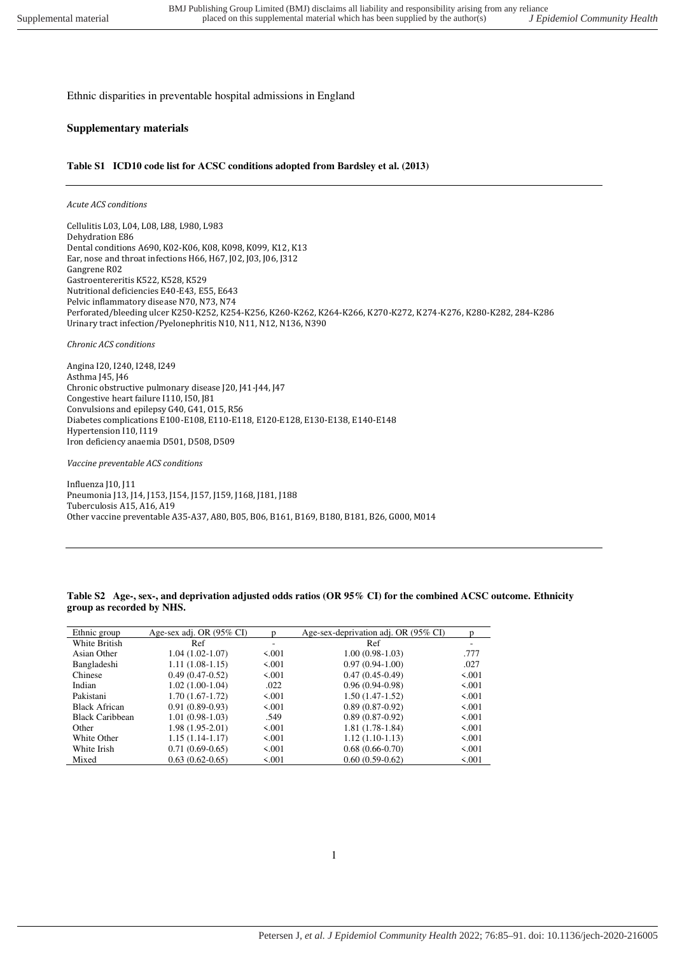Ethnic disparities in preventable hospital admissions in England

## **Supplementary materials**

## **Table S1 ICD10 code list for ACSC conditions adopted from Bardsley et al. (2013)**

## *Acute ACS conditions*

Cellulitis L03, L04, L08, L88, L980, L983 Dehydration E86 Dental conditions A690, K02-K06, K08, K098, K099, K12, K13 Ear, nose and throat infections H66, H67, J02, J03, J06, J312 Gangrene R02 Gastroentereritis K522, K528, K529 Nutritional deficiencies E40-E43, E55, E643 Pelvic inflammatory disease N70, N73, N74 Perforated/bleeding ulcer K250-K252, K254-K256, K260-K262, K264-K266, K270-K272, K274-K276, K280-K282, 284-K286 Urinary tract infection/Pyelonephritis N10, N11, N12, N136, N390

*Chronic ACS conditions* 

Angina I20, I240, I248, I249 Asthma J45, J46 Chronic obstructive pulmonary disease J20, J41-J44, J47 Congestive heart failure I110, I50, J81 Convulsions and epilepsy G40, G41, O15, R56 Diabetes complications E100-E108, E110-E118, E120-E128, E130-E138, E140-E148 Hypertension I10, I119 Iron deficiency anaemia D501, D508, D509

*Vaccine preventable ACS conditions* 

Influenza J10, J11 Pneumonia J13, J14, J153, J154, J157, J159, J168, J181, J188 Tuberculosis A15, A16, A19 Other vaccine preventable A35-A37, A80, B05, B06, B161, B169, B180, B181, B26, G000, M014

**Table S2 Age-, sex-, and deprivation adjusted odds ratios (OR 95% CI) for the combined ACSC outcome. Ethnicity group as recorded by NHS.** 

| Ethnic group           | Age-sex adj. OR (95% CI) | n     | Age-sex-deprivation adj. OR (95% CI) | n     |
|------------------------|--------------------------|-------|--------------------------------------|-------|
| White British          | Ref                      | ۰     | Ref                                  |       |
| Asian Other            | $1.04(1.02-1.07)$        | 5.001 | $1.00(0.98-1.03)$                    | .777  |
| Bangladeshi            | $1.11(1.08-1.15)$        | 5.001 | $0.97(0.94-1.00)$                    | .027  |
| Chinese                | $0.49(0.47-0.52)$        | 5.001 | $0.47(0.45-0.49)$                    | 5.001 |
| Indian                 | $1.02(1.00-1.04)$        | .022  | $0.96(0.94-0.98)$                    | 5.001 |
| Pakistani              | $1.70(1.67-1.72)$        | 5.001 | $1.50(1.47-1.52)$                    | 5.001 |
| <b>Black African</b>   | $0.91(0.89-0.93)$        | 5.001 | $0.89(0.87-0.92)$                    | 5.001 |
| <b>Black Caribbean</b> | $1.01(0.98-1.03)$        | .549  | $0.89(0.87-0.92)$                    | 5.001 |
| Other                  | $1.98(1.95-2.01)$        | 5.001 | $1.81(1.78-1.84)$                    | 5.001 |
| White Other            | $1.15(1.14-1.17)$        | 5.001 | $1.12(1.10-1.13)$                    | 5.001 |
| White Irish            | $0.71(0.69-0.65)$        | 5.001 | $0.68(0.66-0.70)$                    | 5.001 |
| Mixed                  | $0.63(0.62-0.65)$        | 5.001 | $0.60(0.59-0.62)$                    | 5.001 |